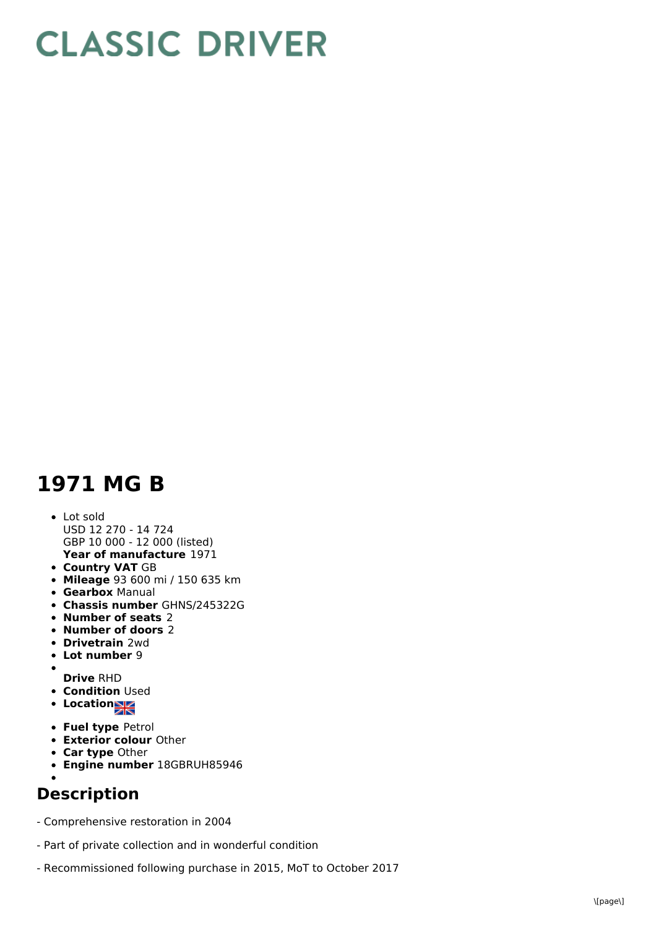## **CLASSIC DRIVER**

## **1971 MG B**

- **Year of manufacture** 1971 Lot sold USD 12 270 - 14 724 GBP 10 000 - 12 000 (listed)
- **Country VAT** GB
- **Mileage** 93 600 mi / 150 635 km
- **Gearbox** Manual
- **Chassis number** GHNS/245322G
- **Number of seats** 2
- **Number of doors** 2
- **Drivetrain** 2wd
- **Lot number** 9
- $\bullet$
- **Drive** RHD **• Condition Used**
- **Locations**
- **Fuel type** Petrol
- **Exterior colour** Other
- **Car type** Other
- **Engine number** 18GBRUH85946

## **Description**

- Comprehensive restoration in 2004
- Part of private collection and in wonderful condition
- Recommissioned following purchase in 2015, MoT to October 2017